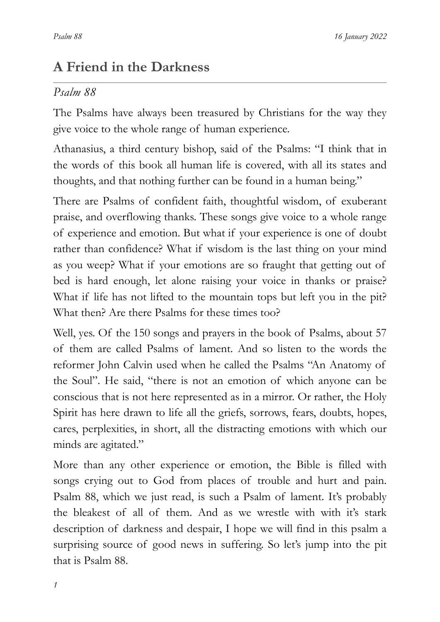# **A Friend in the Darkness**

### *Psalm 88*

The Psalms have always been treasured by Christians for the way they give voice to the whole range of human experience.

Athanasius, a third century bishop, said of the Psalms: "I think that in the words of this book all human life is covered, with all its states and thoughts, and that nothing further can be found in a human being."

There are Psalms of confident faith, thoughtful wisdom, of exuberant praise, and overflowing thanks. These songs give voice to a whole range of experience and emotion. But what if your experience is one of doubt rather than confidence? What if wisdom is the last thing on your mind as you weep? What if your emotions are so fraught that getting out of bed is hard enough, let alone raising your voice in thanks or praise? What if life has not lifted to the mountain tops but left you in the pit? What then? Are there Psalms for these times too?

Well, yes. Of the 150 songs and prayers in the book of Psalms, about 57 of them are called Psalms of lament. And so listen to the words the reformer John Calvin used when he called the Psalms "An Anatomy of the Soul". He said, "there is not an emotion of which anyone can be conscious that is not here represented as in a mirror. Or rather, the Holy Spirit has here drawn to life all the griefs, sorrows, fears, doubts, hopes, cares, perplexities, in short, all the distracting emotions with which our minds are agitated."

More than any other experience or emotion, the Bible is filled with songs crying out to God from places of trouble and hurt and pain. Psalm 88, which we just read, is such a Psalm of lament. It's probably the bleakest of all of them. And as we wrestle with with it's stark description of darkness and despair, I hope we will find in this psalm a surprising source of good news in suffering. So let's jump into the pit that is Psalm 88.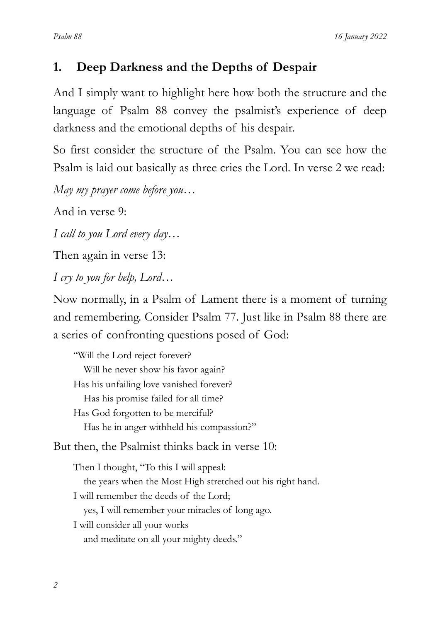## **1. Deep Darkness and the Depths of Despair**

And I simply want to highlight here how both the structure and the language of Psalm 88 convey the psalmist's experience of deep darkness and the emotional depths of his despair.

So first consider the structure of the Psalm. You can see how the Psalm is laid out basically as three cries the Lord. In verse 2 we read:

*May my prayer come before you…*

And in verse 9:

*I call to you Lord every day…*

Then again in verse 13:

*I cry to you for help, Lord*…

Now normally, in a Psalm of Lament there is a moment of turning and remembering. Consider Psalm 77. Just like in Psalm 88 there are a series of confronting questions posed of God:

"Will the Lord reject forever? Will he never show his favor again? Has his unfailing love vanished forever? Has his promise failed for all time? Has God forgotten to be merciful? Has he in anger withheld his compassion?"

But then, the Psalmist thinks back in verse 10:

Then I thought, "To this I will appeal: the years when the Most High stretched out his right hand. I will remember the deeds of the Lord; yes, I will remember your miracles of long ago. I will consider all your works and meditate on all your mighty deeds."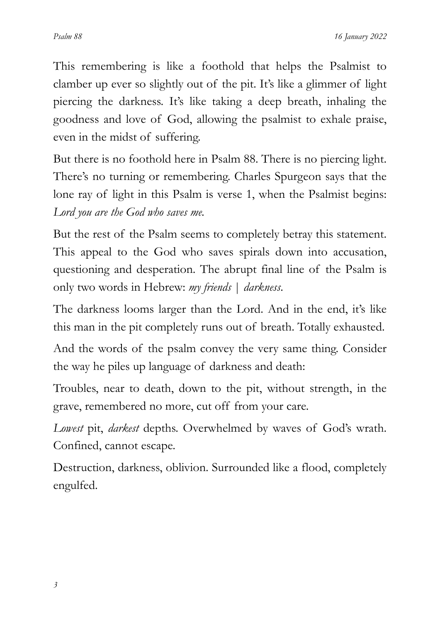This remembering is like a foothold that helps the Psalmist to clamber up ever so slightly out of the pit. It's like a glimmer of light piercing the darkness. It's like taking a deep breath, inhaling the goodness and love of God, allowing the psalmist to exhale praise, even in the midst of suffering.

But there is no foothold here in Psalm 88. There is no piercing light. There's no turning or remembering. Charles Spurgeon says that the lone ray of light in this Psalm is verse 1, when the Psalmist begins: *Lord you are the God who saves me.*

But the rest of the Psalm seems to completely betray this statement. This appeal to the God who saves spirals down into accusation, questioning and desperation. The abrupt final line of the Psalm is only two words in Hebrew: *my friends* | *darkness*.

The darkness looms larger than the Lord. And in the end, it's like this man in the pit completely runs out of breath. Totally exhausted.

And the words of the psalm convey the very same thing. Consider the way he piles up language of darkness and death:

Troubles, near to death, down to the pit, without strength, in the grave, remembered no more, cut off from your care.

*Lowest* pit, *darkest* depths. Overwhelmed by waves of God's wrath. Confined, cannot escape.

Destruction, darkness, oblivion. Surrounded like a flood, completely engulfed.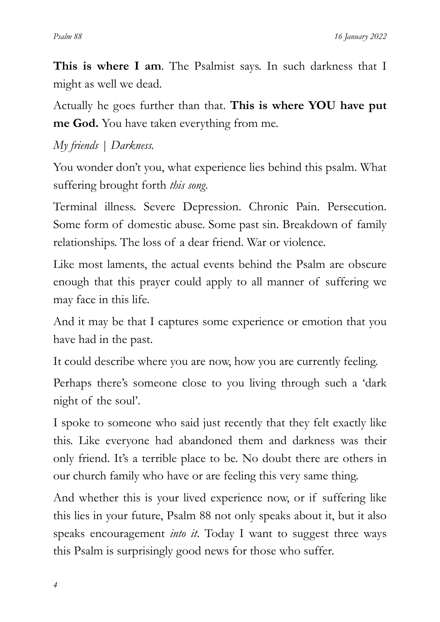**This is where I am**. The Psalmist says. In such darkness that I might as well we dead.

Actually he goes further than that. **This is where YOU have put me God.** You have taken everything from me.

*My friends | Darkness.*

You wonder don't you, what experience lies behind this psalm. What suffering brought forth *this song*.

Terminal illness. Severe Depression. Chronic Pain. Persecution. Some form of domestic abuse. Some past sin. Breakdown of family relationships. The loss of a dear friend. War or violence.

Like most laments, the actual events behind the Psalm are obscure enough that this prayer could apply to all manner of suffering we may face in this life.

And it may be that I captures some experience or emotion that you have had in the past.

It could describe where you are now, how you are currently feeling.

Perhaps there's someone close to you living through such a 'dark night of the soul'.

I spoke to someone who said just recently that they felt exactly like this. Like everyone had abandoned them and darkness was their only friend. It's a terrible place to be. No doubt there are others in our church family who have or are feeling this very same thing.

And whether this is your lived experience now, or if suffering like this lies in your future, Psalm 88 not only speaks about it, but it also speaks encouragement *into it*. Today I want to suggest three ways this Psalm is surprisingly good news for those who suffer.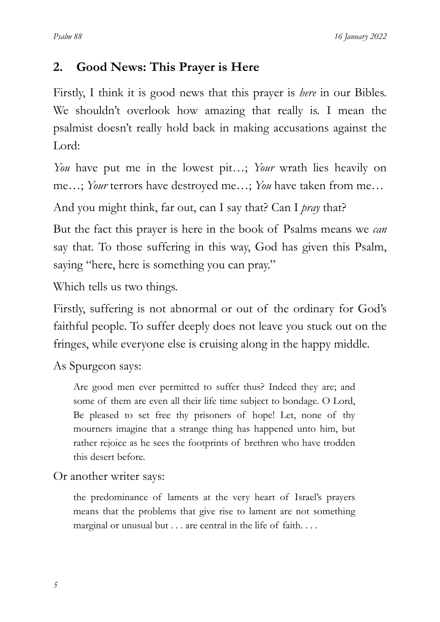## **2. Good News: This Prayer is Here**

Firstly, I think it is good news that this prayer is *here* in our Bibles. We shouldn't overlook how amazing that really is. I mean the psalmist doesn't really hold back in making accusations against the Lord:

*You* have put me in the lowest pit…; *Your* wrath lies heavily on me…; *Your* terrors have destroyed me…; *You* have taken from me…

And you might think, far out, can I say that? Can I *pray* that?

But the fact this prayer is here in the book of Psalms means we *can* say that. To those suffering in this way, God has given this Psalm, saying "here, here is something you can pray."

Which tells us two things.

Firstly, suffering is not abnormal or out of the ordinary for God's faithful people. To suffer deeply does not leave you stuck out on the fringes, while everyone else is cruising along in the happy middle.

As Spurgeon says:

Are good men ever permitted to suffer thus? Indeed they are; and some of them are even all their life time subject to bondage. O Lord, Be pleased to set free thy prisoners of hope! Let, none of thy mourners imagine that a strange thing has happened unto him, but rather rejoice as he sees the footprints of brethren who have trodden this desert before.

#### Or another writer says:

the predominance of laments at the very heart of Israel's prayers means that the problems that give rise to lament are not something marginal or unusual but . . . are central in the life of faith. . . .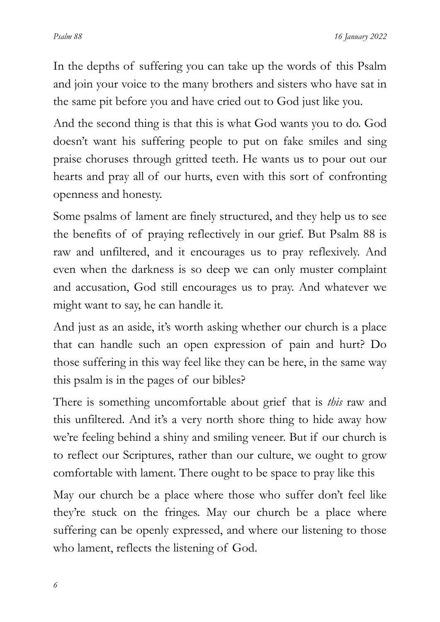In the depths of suffering you can take up the words of this Psalm and join your voice to the many brothers and sisters who have sat in the same pit before you and have cried out to God just like you.

And the second thing is that this is what God wants you to do. God doesn't want his suffering people to put on fake smiles and sing praise choruses through gritted teeth. He wants us to pour out our hearts and pray all of our hurts, even with this sort of confronting openness and honesty.

Some psalms of lament are finely structured, and they help us to see the benefits of of praying reflectively in our grief. But Psalm 88 is raw and unfiltered, and it encourages us to pray reflexively. And even when the darkness is so deep we can only muster complaint and accusation, God still encourages us to pray. And whatever we might want to say, he can handle it.

And just as an aside, it's worth asking whether our church is a place that can handle such an open expression of pain and hurt? Do those suffering in this way feel like they can be here, in the same way this psalm is in the pages of our bibles?

There is something uncomfortable about grief that is *this* raw and this unfiltered. And it's a very north shore thing to hide away how we're feeling behind a shiny and smiling veneer. But if our church is to reflect our Scriptures, rather than our culture, we ought to grow comfortable with lament. There ought to be space to pray like this

May our church be a place where those who suffer don't feel like they're stuck on the fringes. May our church be a place where suffering can be openly expressed, and where our listening to those who lament, reflects the listening of God.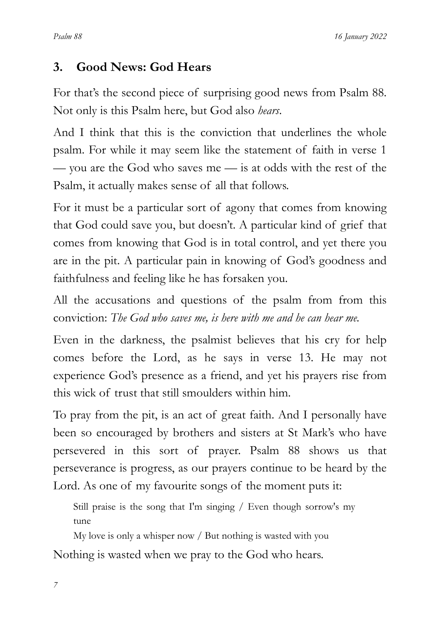### **3. Good News: God Hears**

For that's the second piece of surprising good news from Psalm 88. Not only is this Psalm here, but God also *hears*.

And I think that this is the conviction that underlines the whole psalm. For while it may seem like the statement of faith in verse 1 — you are the God who saves me — is at odds with the rest of the Psalm, it actually makes sense of all that follows.

For it must be a particular sort of agony that comes from knowing that God could save you, but doesn't. A particular kind of grief that comes from knowing that God is in total control, and yet there you are in the pit. A particular pain in knowing of God's goodness and faithfulness and feeling like he has forsaken you.

All the accusations and questions of the psalm from from this conviction: *The God who saves me, is here with me and he can hear me.*

Even in the darkness, the psalmist believes that his cry for help comes before the Lord, as he says in verse 13. He may not experience God's presence as a friend, and yet his prayers rise from this wick of trust that still smoulders within him.

To pray from the pit, is an act of great faith. And I personally have been so encouraged by brothers and sisters at St Mark's who have persevered in this sort of prayer. Psalm 88 shows us that perseverance is progress, as our prayers continue to be heard by the Lord. As one of my favourite songs of the moment puts it:

Still praise is the song that I'm singing / Even though sorrow's my tune

My love is only a whisper now / But nothing is wasted with you Nothing is wasted when we pray to the God who hears.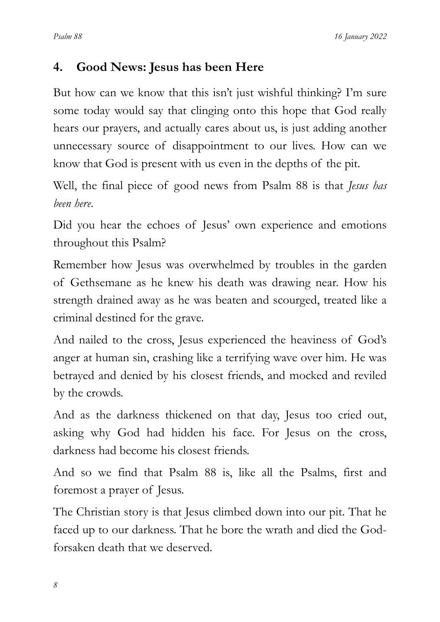## **4. Good News: Jesus has been Here**

But how can we know that this isn't just wishful thinking? I'm sure some today would say that clinging onto this hope that God really hears our prayers, and actually cares about us, is just adding another unnecessary source of disappointment to our lives. How can we know that God is present with us even in the depths of the pit.

Well, the final piece of good news from Psalm 88 is that *Jesus has been here*.

Did you hear the echoes of Jesus' own experience and emotions throughout this Psalm?

Remember how Jesus was overwhelmed by troubles in the garden of Gethsemane as he knew his death was drawing near. How his strength drained away as he was beaten and scourged, treated like a criminal destined for the grave.

And nailed to the cross, Jesus experienced the heaviness of God's anger at human sin, crashing like a terrifying wave over him. He was betrayed and denied by his closest friends, and mocked and reviled by the crowds.

And as the darkness thickened on that day, Jesus too cried out, asking why God had hidden his face. For Jesus on the cross, darkness had become his closest friends.

And so we find that Psalm 88 is, like all the Psalms, first and foremost a prayer of Jesus.

The Christian story is that Jesus climbed down into our pit. That he faced up to our darkness. That he bore the wrath and died the Godforsaken death that we deserved.